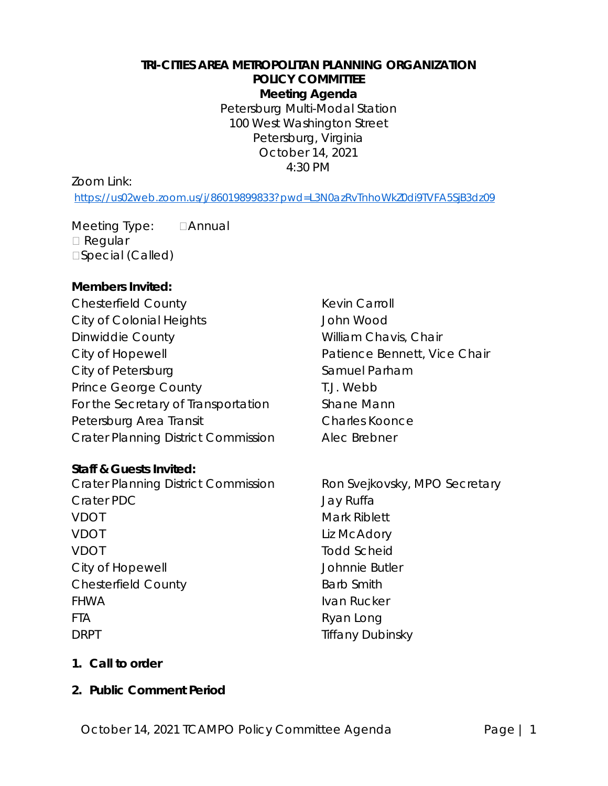# *TRI-CITIES AREA METROPOLITAN PLANNING ORGANIZATION POLICY COMMITTEE Meeting Agenda*

Petersburg Multi-Modal Station 100 West Washington Street Petersburg, Virginia October 14, 2021 4:30 PM

Zoom Link:

<https://us02web.zoom.us/j/86019899833?pwd=L3N0azRvTnhoWkZ0di9TVFA5SjB3dz09>

Meeting Type: **Annual** □ Regular □Special (Called)

### **Members Invited:**

Chesterfield County **Kevin Carroll** Kevin Carroll City of Colonial Heights John Wood Dinwiddie County **William Chavis, Chair** City of Hopewell **Patience Bennett**, Vice Chair City of Petersburg Samuel Parham Prince George County T.J. Webb For the Secretary of Transportation Shane Mann Petersburg Area Transit Charles Koonce Crater Planning District Commission Alec Brebner

### **Staff & Guests Invited:**

Crater Planning District Commission Ron Svejkovsky, MPO Secretary Crater PDC Jay Ruffa VDOT Nark Riblett VDOT Liz McAdory VDOT CONTROLLER Todd Scheid City of Hopewell **City of Hopewell** Chesterfield County **Barb Smith** FHWA **IVan Rucker** FTA Ryan Long DRPT **Tiffany Dubinsky** 

### **1. Call to order**

### **2. Public Comment Period**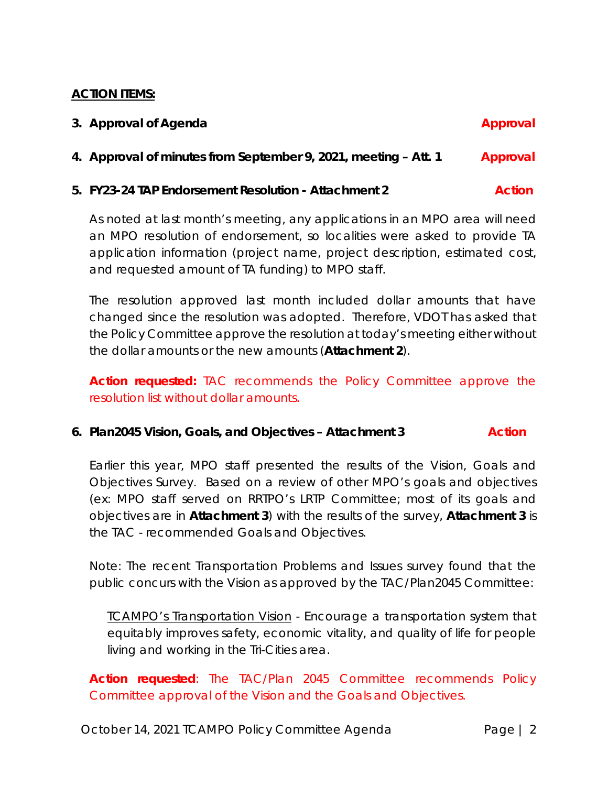# **ACTION ITEMS:**

| 3. Approval of Agenda                                           | Approval |
|-----------------------------------------------------------------|----------|
| 4. Approval of minutes from September 9, 2021, meeting – Att. 1 | Approval |

# **5. FY23-24 TAP Endorsement Resolution -** *Attachment 2**Action*

As noted at last month's meeting, any applications in an MPO area will need an MPO resolution of endorsement, so localities were asked to provide TA application information (project name, project description, estimated cost, and requested amount of TA funding) to MPO staff.

The resolution approved last month included dollar amounts that have changed since the resolution was adopted. Therefore, VDOT has asked that the Policy Committee approve the resolution at today's meeting either without the dollar amounts or the new amounts (**Attachment 2**).

*Action requested: TAC recommends the Policy Committee approve the resolution list without dollar amounts.*

# **6.** *Plan2045 Vision, Goals, and Objectives – Attachment 3 Action*

Earlier this year, MPO staff presented the results of the Vision, Goals and Objectives Survey. Based on a review of other MPO's goals and objectives (ex: MPO staff served on RRTPO's LRTP Committee; most of its goals and objectives are in **Attachment 3**) with the results of the survey, **Attachment 3** is the TAC - recommended Goals and Objectives.

*Note: The recent Transportation Problems and Issues survey found that the public concurs with the Vision as approved by the TAC/Plan2045 Committee:*

*TCAMPO's Transportation Vision - Encourage a transportation system that equitably improves safety, economic vitality, and quality of life for people living and working in the Tri-Cities area.*

*Action requested*: T*he TAC/Plan 2045 Committee recommends Policy Committee approval of the Vision and the Goals and Objectives.*

October 14, 2021 TCAMPO Policy Committee Agenda Page | 2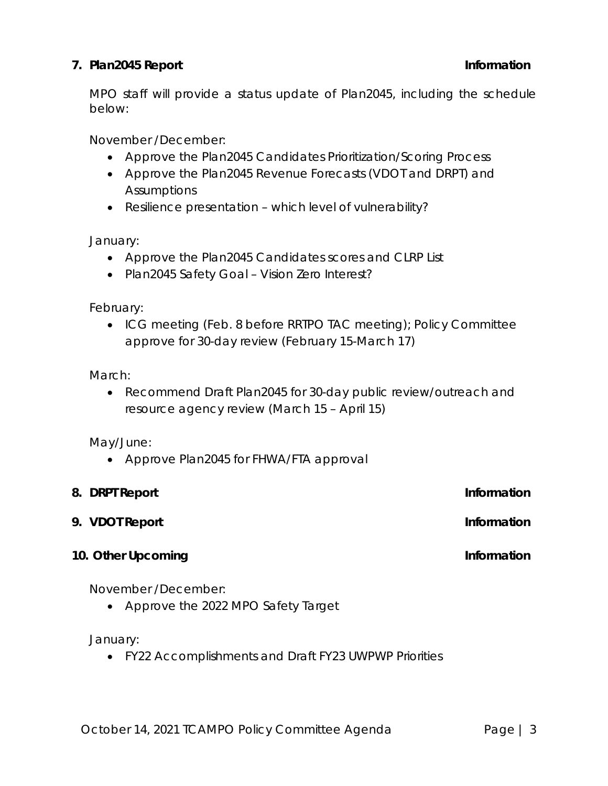# **7. Plan2045 Report Information**

MPO staff will provide a status update of Plan2045, including the schedule below:

November /December:

- Approve the *Plan2045* Candidates Prioritization/Scoring Process
- Approve the *Plan2045* Revenue Forecasts (VDOT and DRPT) and Assumptions
- Resilience presentation which level of vulnerability?

January:

- Approve the *Plan2045* Candidates scores and CLRP List
- *Plan2045* Safety Goal Vision Zero Interest?

February:

• ICG meeting (Feb. 8 before RRTPO TAC meeting); Policy Committee approve for 30-day review (February 15-March 17)

March:

• Recommend Draft *Plan2045* for 30-day public review/outreach and resource agency review (March 15 – April 15)

May/June:

• Approve *Plan2045* for FHWA/FTA approval

| 8. DRPT Report     | Information |
|--------------------|-------------|
| 9. VDOT Report     | Information |
| 10. Other Upcoming | Information |

November /December:

• Approve the 2022 MPO Safety Target

January:

• FY22 Accomplishments and Draft FY23 UWPWP Priorities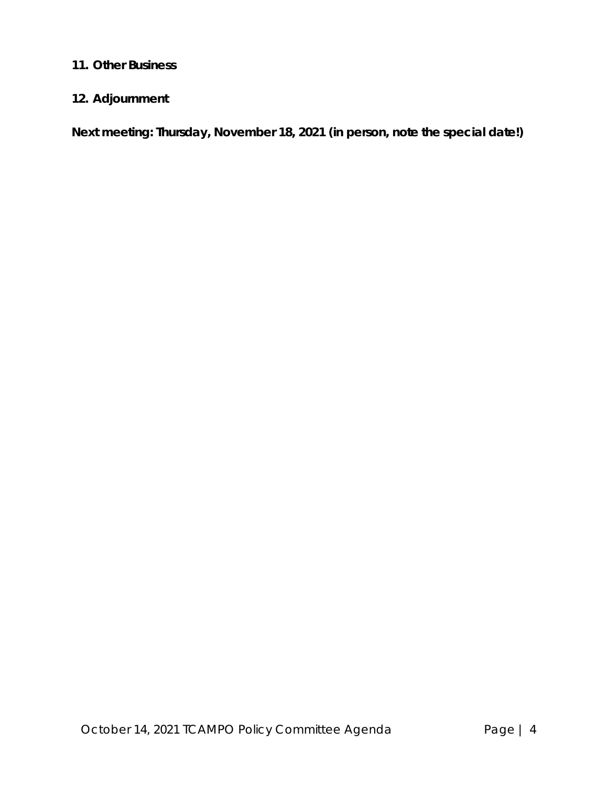# **11. Other Business**

# **12. Adjournment**

*Next meeting: Thursday, November 18, 2021 (in person, note the special date!)*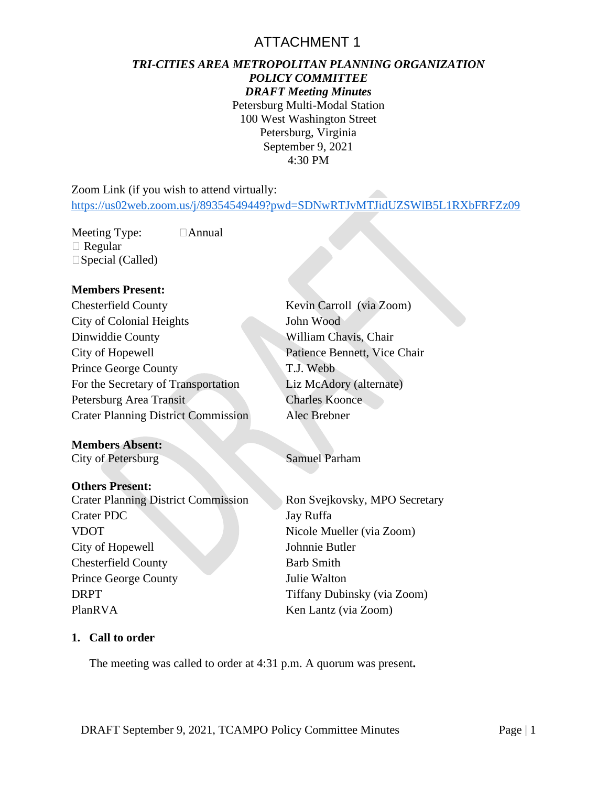# ATTACHMENT 1

# *TRI-CITIES AREA METROPOLITAN PLANNING ORGANIZATION POLICY COMMITTEE*

*DRAFT Meeting Minutes* Petersburg Multi-Modal Station 100 West Washington Street Petersburg, Virginia September 9, 2021 4:30 PM

Zoom Link (if you wish to attend virtually: <https://us02web.zoom.us/j/89354549449?pwd=SDNwRTJvMTJidUZSWlB5L1RXbFRFZz09>

Meeting Type:  $\Box$  Annual Regular  $\square$ Special (Called)

# **Members Present:**

| <b>Chesterfield County</b>                 | Kevin Carroll (via Zoom)      |  |
|--------------------------------------------|-------------------------------|--|
| <b>City of Colonial Heights</b>            | John Wood                     |  |
| Dinwiddie County                           | William Chavis, Chair         |  |
| City of Hopewell                           | Patience Bennett, Vice Chair  |  |
| <b>Prince George County</b>                | T.J. Webb                     |  |
| For the Secretary of Transportation        | Liz McAdory (alternate)       |  |
| Petersburg Area Transit                    | <b>Charles Koonce</b>         |  |
| <b>Crater Planning District Commission</b> | Alec Brebner                  |  |
| <b>Members Absent:</b>                     |                               |  |
| City of Petersburg                         | <b>Samuel Parham</b>          |  |
| <b>Others Present:</b>                     |                               |  |
| <b>Crater Planning District Commission</b> | Ron Svejkovsky, MPO Secretary |  |
| Crater PDC                                 | Jay Ruffa                     |  |
| VDOT                                       | Nicole Mueller (via Zoom)     |  |
| City of Hopewell                           | Johnnie Butler                |  |
| <b>Chesterfield County</b>                 | Barb Smith                    |  |

# **1. Call to order**

The meeting was called to order at 4:31 p.m. A quorum was present**.**

DRPT Tiffany Dubinsky (via Zoom)

PlanRVA Ken Lantz (via Zoom)

Prince George County **Iulie Walton**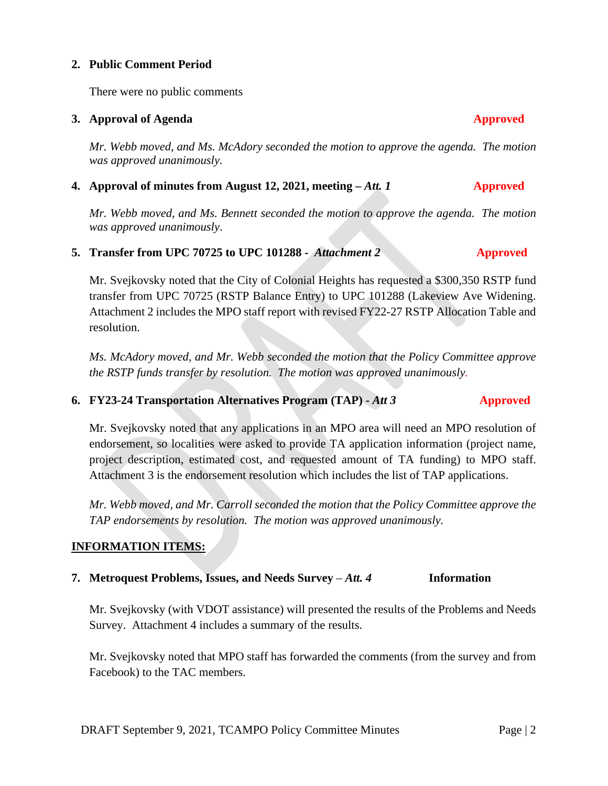### **2. Public Comment Period**

There were no public comments

### **3.** Approval of Agenda **Approved**

*Mr. Webb moved, and Ms. McAdory seconded the motion to approve the agenda. The motion was approved unanimously.*

### **4. Approval of minutes from August 12, 2021, meeting –** *Att. 1* **Approved**

*Mr. Webb moved, and Ms. Bennett seconded the motion to approve the agenda. The motion was approved unanimously*.

### **5. Transfer from UPC 70725 to UPC 101288 -** *Attachment 2* **Approved**

Mr. Svejkovsky noted that the City of Colonial Heights has requested a \$300,350 RSTP fund transfer from UPC 70725 (RSTP Balance Entry) to UPC 101288 (Lakeview Ave Widening. Attachment 2 includes the MPO staff report with revised FY22-27 RSTP Allocation Table and resolution.

*Ms. McAdory moved, and Mr. Webb seconded the motion that the Policy Committee approve the RSTP funds transfer by resolution. The motion was approved unanimously.*

### **6. FY23-24 Transportation Alternatives Program (TAP) -** *Att 3* **Approved**

Mr. Svejkovsky noted that any applications in an MPO area will need an MPO resolution of endorsement, so localities were asked to provide TA application information (project name, project description, estimated cost, and requested amount of TA funding) to MPO staff. Attachment 3 is the endorsement resolution which includes the list of TAP applications.

*Mr. Webb moved, and Mr. Carroll seconded the motion that the Policy Committee approve the TAP endorsements by resolution. The motion was approved unanimously.*

### **INFORMATION ITEMS:**

### **7. Metroquest Problems, Issues, and Needs Survey** – *Att. 4* **Information**

Mr. Svejkovsky (with VDOT assistance) will presented the results of the Problems and Needs Survey. Attachment 4 includes a summary of the results.

Mr. Svejkovsky noted that MPO staff has forwarded the comments (from the survey and from Facebook) to the TAC members.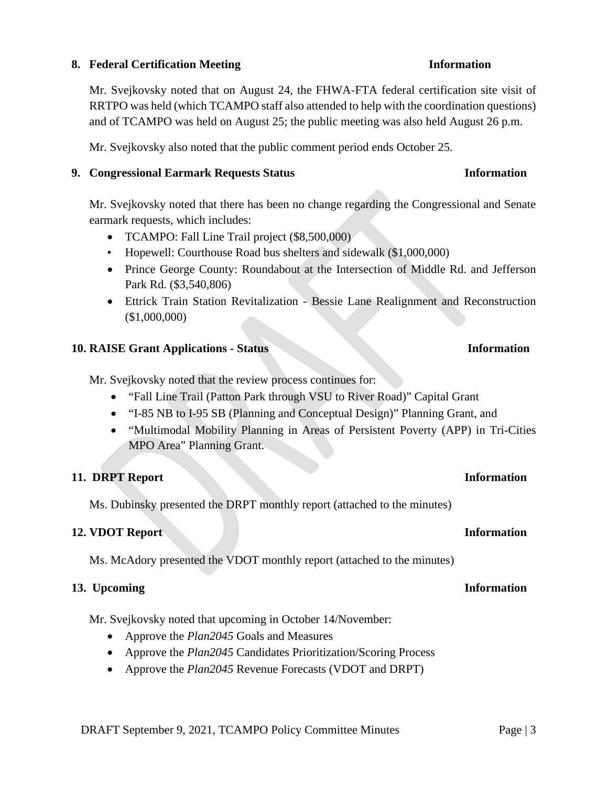### **8. Federal Certification Meeting <b>Information**

Mr. Svejkovsky noted that on August 24, the FHWA-FTA federal certification site visit of RRTPO was held (which TCAMPO staff also attended to help with the coordination questions) and of TCAMPO was held on August 25; the public meeting was also held August 26 p.m.

Mr. Svejkovsky also noted that the public comment period ends October 25.

### **9. Congressional Earmark Requests Status Information**

## Mr. Svejkovsky noted that there has been no change regarding the Congressional and Senate earmark requests, which includes:

- TCAMPO: Fall Line Trail project (\$8,500,000)
- Hopewell: Courthouse Road bus shelters and sidewalk (\$1,000,000)
- Prince George County: Roundabout at the Intersection of Middle Rd. and Jefferson Park Rd. (\$3,540,806)
- Ettrick Train Station Revitalization Bessie Lane Realignment and Reconstruction (\$1,000,000)

### **10. RAISE Grant Applications - Status Information**

Mr. Svejkovsky noted that the review process continues for:

- "Fall Line Trail (Patton Park through VSU to River Road)" Capital Grant
- "I-85 NB to I-95 SB (Planning and Conceptual Design)" Planning Grant, and
- "Multimodal Mobility Planning in Areas of Persistent Poverty (APP) in Tri-Cities MPO Area" Planning Grant.

### **11. DRPT Report Information**

Ms. Dubinsky presented the DRPT monthly report (attached to the minutes)

### **12. VDOT Report Information**

Ms. McAdory presented the VDOT monthly report (attached to the minutes)

### **13. Upcoming Information**

Mr. Svejkovsky noted that upcoming in October 14/November:

- Approve the *Plan2045* Goals and Measures
- Approve the *Plan2045* Candidates Prioritization/Scoring Process
- Approve the *Plan2045* Revenue Forecasts (VDOT and DRPT)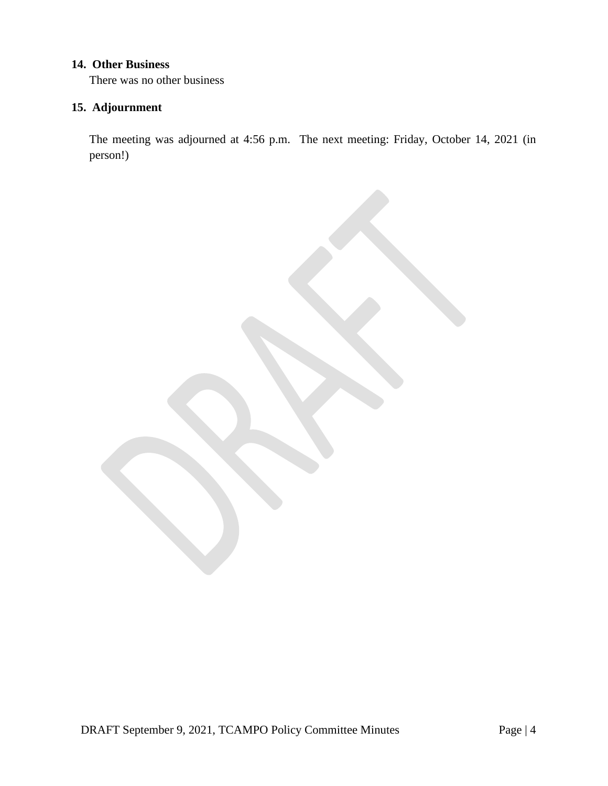### **14. Other Business**

There was no other business

# **15. Adjournment**

The meeting was adjourned at 4:56 p.m. The next meeting: Friday, October 14, 2021 (in person!)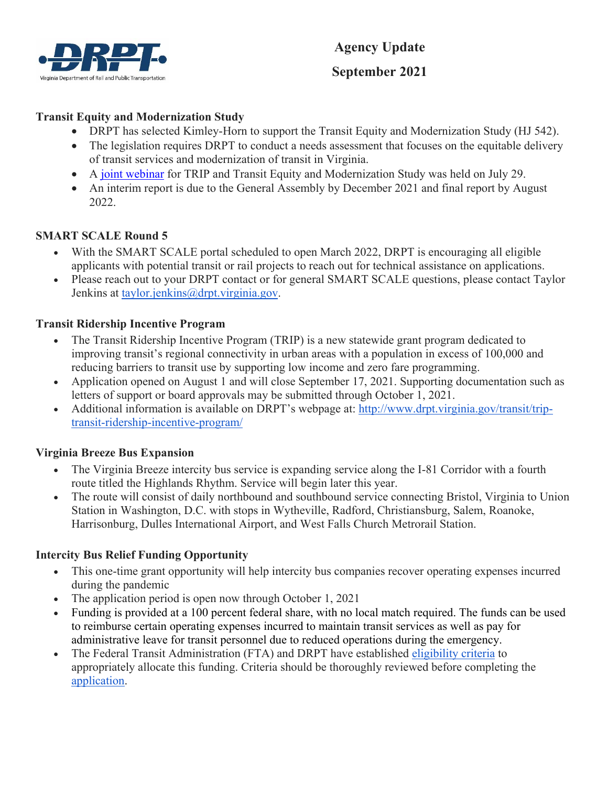

# **Transit Equity and Modernization Study**

- DRPT has selected Kimley-Horn to support the Transit Equity and Modernization Study (HJ 542).
- The legislation requires DRPT to conduct a needs assessment that focuses on the equitable delivery of transit services and modernization of transit in Virginia.
- A joint webinar for TRIP and Transit Equity and Modernization Study was held on July 29.
- An interim report is due to the General Assembly by December 2021 and final report by August 2022.

# **SMART SCALE Round 5**

- With the SMART SCALE portal scheduled to open March 2022, DRPT is encouraging all eligible applicants with potential transit or rail projects to reach out for technical assistance on applications.
- Please reach out to your DRPT contact or for general SMART SCALE questions, please contact Taylor Jenkins at taylor.jenkins@drpt.virginia.gov.

### **Transit Ridership Incentive Program**

- The Transit Ridership Incentive Program (TRIP) is a new statewide grant program dedicated to improving transit's regional connectivity in urban areas with a population in excess of 100,000 and reducing barriers to transit use by supporting low income and zero fare programming.
- Application opened on August 1 and will close September 17, 2021. Supporting documentation such as letters of support or board approvals may be submitted through October 1, 2021.
- Additional information is available on DRPT's webpage at: http://www.drpt.virginia.gov/transit/triptransit-ridership-incentive-program/

### **Virginia Breeze Bus Expansion**

- The Virginia Breeze intercity bus service is expanding service along the I-81 Corridor with a fourth route titled the Highlands Rhythm. Service will begin later this year.
- The route will consist of daily northbound and southbound service connecting Bristol, Virginia to Union Station in Washington, D.C. with stops in Wytheville, Radford, Christiansburg, Salem, Roanoke, Harrisonburg, Dulles International Airport, and West Falls Church Metrorail Station.

### **Intercity Bus Relief Funding Opportunity**

- This one-time grant opportunity will help intercity bus companies recover operating expenses incurred during the pandemic
- The application period is open now through October 1, 2021
- Funding is provided at a 100 percent federal share, with no local match required. The funds can be used to reimburse certain operating expenses incurred to maintain transit services as well as pay for administrative leave for transit personnel due to reduced operations during the emergency.
- The Federal Transit Administration (FTA) and DRPT have established eligibility criteria to appropriately allocate this funding. Criteria should be thoroughly reviewed before completing the application.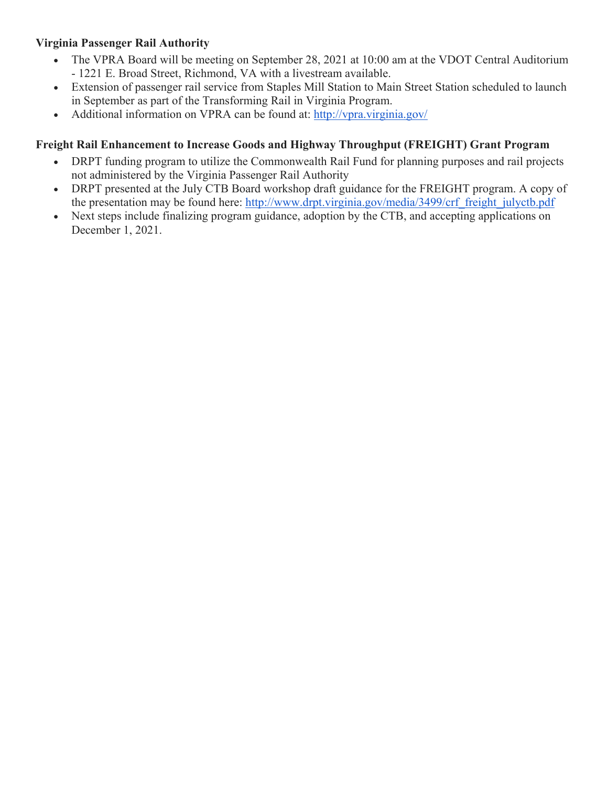# **Virginia Passenger Rail Authority**

- The VPRA Board will be meeting on September 28, 2021 at 10:00 am at the VDOT Central Auditorium - 1221 E. Broad Street, Richmond, VA with a livestream available.
- Extension of passenger rail service from Staples Mill Station to Main Street Station scheduled to launch in September as part of the Transforming Rail in Virginia Program.
- Additional information on VPRA can be found at: http://vpra.virginia.gov/

# **Freight Rail Enhancement to Increase Goods and Highway Throughput (FREIGHT) Grant Program**

- DRPT funding program to utilize the Commonwealth Rail Fund for planning purposes and rail projects not administered by the Virginia Passenger Rail Authority
- DRPT presented at the July CTB Board workshop draft guidance for the FREIGHT program. A copy of the presentation may be found here: http://www.drpt.virginia.gov/media/3499/crf freight julyctb.pdf
- Next steps include finalizing program guidance, adoption by the CTB, and accepting applications on December 1, 2021.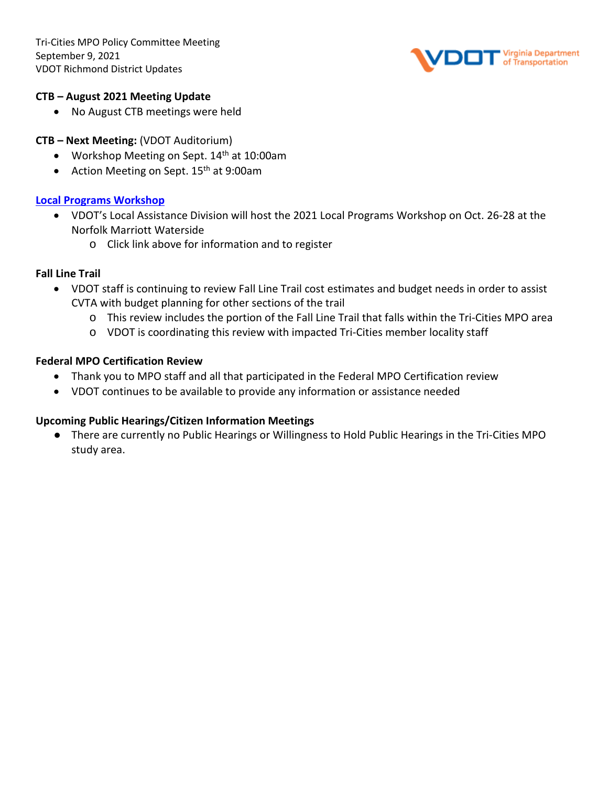Tri-Cities MPO Policy Committee Meeting September 9, 2021 VDOT Richmond District Updates



### **CTB – August 2021 Meeting Update**

• No August CTB meetings were held

### **CTB – Next Meeting:** (VDOT Auditorium)

- Workshop Meeting on Sept. 14<sup>th</sup> at 10:00am
- Action Meeting on Sept.  $15<sup>th</sup>$  at 9:00am

### **[Local Programs Workshop](https://www.virginiadot.org/business/lad_meeting.asp)**

- VDOT's Local Assistance Division will host the 2021 Local Programs Workshop on Oct. 26-28 at the Norfolk Marriott Waterside
	- o Click link above for information and to register

### **Fall Line Trail**

- VDOT staff is continuing to review Fall Line Trail cost estimates and budget needs in order to assist CVTA with budget planning for other sections of the trail
	- o This review includes the portion of the Fall Line Trail that falls within the Tri-Cities MPO area
	- o VDOT is coordinating this review with impacted Tri-Cities member locality staff

### **Federal MPO Certification Review**

- Thank you to MPO staff and all that participated in the Federal MPO Certification review
- VDOT continues to be available to provide any information or assistance needed

### **Upcoming Public Hearings/Citizen Information Meetings**

● There are currently no Public Hearings or Willingness to Hold Public Hearings in the Tri-Cities MPO study area.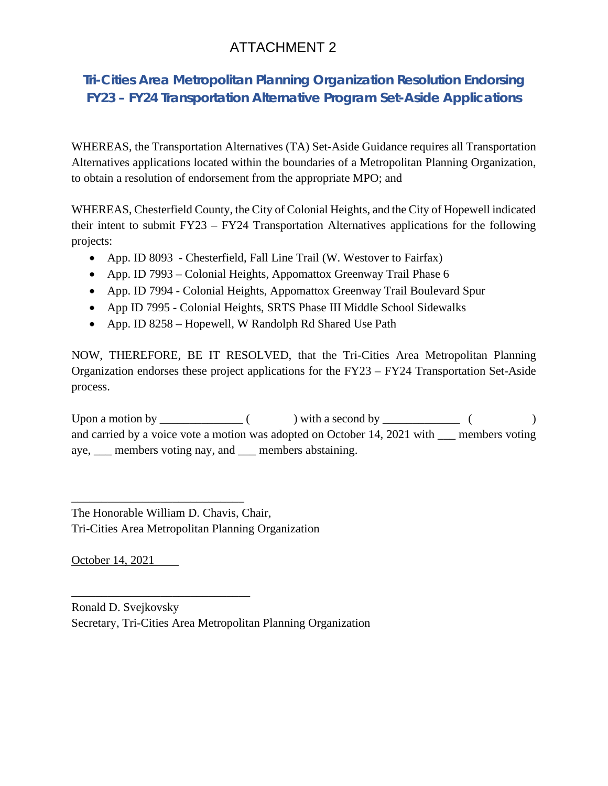# ATTACHMENT 2

# **Tri-Cities Area Metropolitan Planning Organization Resolution Endorsing FY23 – FY24 Transportation Alternative Program Set-Aside Applications**

WHEREAS, the Transportation Alternatives (TA) Set-Aside Guidance requires all Transportation Alternatives applications located within the boundaries of a Metropolitan Planning Organization, to obtain a resolution of endorsement from the appropriate MPO; and

WHEREAS, Chesterfield County, the City of Colonial Heights, and the City of Hopewell indicated their intent to submit FY23 – FY24 Transportation Alternatives applications for the following projects:

- App. ID 8093 Chesterfield, Fall Line Trail (W. Westover to Fairfax)
- App. ID 7993 Colonial Heights, Appomattox Greenway Trail Phase 6
- App. ID 7994 Colonial Heights, Appomattox Greenway Trail Boulevard Spur
- App ID 7995 Colonial Heights, SRTS Phase III Middle School Sidewalks
- App. ID 8258 Hopewell, W Randolph Rd Shared Use Path

NOW, THEREFORE, BE IT RESOLVED, that the Tri-Cities Area Metropolitan Planning Organization endorses these project applications for the FY23 – FY24 Transportation Set-Aside process.

Upon a motion by \_\_\_\_\_\_\_\_\_\_\_\_\_\_ ( ) with a second by \_\_\_\_\_\_\_\_\_\_\_\_\_ ( ) and carried by a voice vote a motion was adopted on October 14, 2021 with \_\_\_ members voting aye, \_\_\_ members voting nay, and \_\_\_ members abstaining.

The Honorable William D. Chavis, Chair, Tri-Cities Area Metropolitan Planning Organization

\_\_\_\_\_\_\_\_\_\_\_\_\_\_\_\_\_\_\_\_\_\_\_\_\_\_\_\_\_

\_\_\_\_\_\_\_\_\_\_\_\_\_\_\_\_\_\_\_\_\_\_\_\_\_\_\_\_\_\_

October 14, 2021

Ronald D. Svejkovsky Secretary, Tri-Cities Area Metropolitan Planning Organization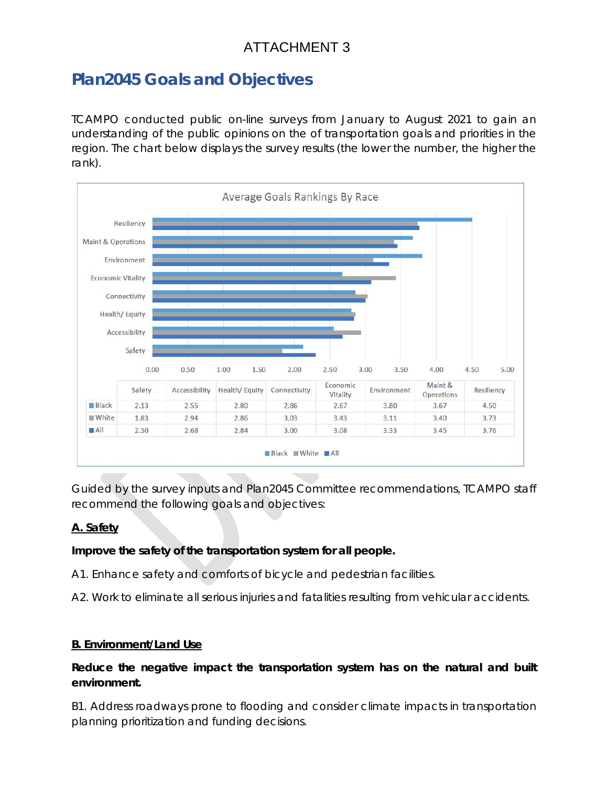# ATTACHMENT 3

# *Plan2045* **Goals and Objectives**

TCAMPO conducted public on-line surveys from January to August 2021 to gain an understanding of the public opinions on the of transportation goals and priorities in the region. The chart below displays the survey results (the lower the number, the higher the rank).



Guided by the survey inputs and Plan2045 Committee recommendations, TCAMPO staff recommend the following goals and objectives:

# **A. Safety**

# *Improve the safety of the transportation system for all people.*

- A1. Enhance safety and comforts of bicycle and pedestrian facilities.
- A2. Work to eliminate all serious injuries and fatalities resulting from vehicular accidents.

### **B. Environment/Land Use**

# *Reduce the negative impact the transportation system has on the natural and built environment.*

B1. Address roadways prone to flooding and consider climate impacts in transportation planning prioritization and funding decisions.